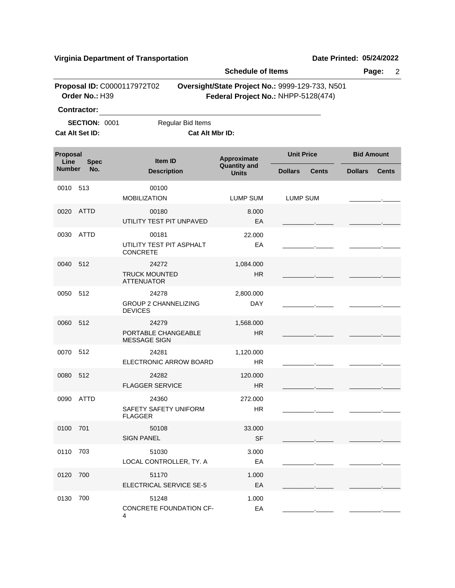| <b>Schedule of Items</b>                                      |                |                                                        |                                |                                                                                        |                |                   |                | $\overline{2}$<br>Page: |  |  |
|---------------------------------------------------------------|----------------|--------------------------------------------------------|--------------------------------|----------------------------------------------------------------------------------------|----------------|-------------------|----------------|-------------------------|--|--|
|                                                               | Order No.: H39 | Proposal ID: C0000117972T02                            |                                | Oversight/State Project No.: 9999-129-733, N501<br>Federal Project No.: NHPP-5128(474) |                |                   |                |                         |  |  |
| <b>Contractor:</b><br><b>SECTION: 0001</b><br>Cat Alt Set ID: |                | Regular Bid Items<br>Cat Alt Mbr ID:                   |                                |                                                                                        |                |                   |                |                         |  |  |
| Proposal<br>Line<br><b>Spec</b><br>No.<br><b>Number</b>       |                | Item ID                                                |                                | Approximate                                                                            |                | <b>Unit Price</b> |                | <b>Bid Amount</b>       |  |  |
|                                                               |                | <b>Description</b>                                     |                                | <b>Quantity and</b><br><b>Units</b>                                                    | <b>Dollars</b> | <b>Cents</b>      | <b>Dollars</b> | <b>Cents</b>            |  |  |
| 0010                                                          | 513            | 00100<br><b>MOBILIZATION</b>                           |                                | <b>LUMP SUM</b>                                                                        | LUMP SUM       |                   |                |                         |  |  |
| 0020                                                          | ATTD           | 00180<br>UTILITY TEST PIT UNPAVED                      |                                | 8.000<br>EA                                                                            |                |                   |                |                         |  |  |
| 0030                                                          | <b>ATTD</b>    | 00181<br>UTILITY TEST PIT ASPHALT<br><b>CONCRETE</b>   |                                | 22.000<br>EA                                                                           |                |                   |                |                         |  |  |
| 0040                                                          | 512            | 24272<br><b>TRUCK MOUNTED</b><br><b>ATTENUATOR</b>     |                                | 1,084.000<br><b>HR</b>                                                                 |                |                   |                |                         |  |  |
| 0050                                                          | 512            | 24278<br><b>GROUP 2 CHANNELIZING</b><br><b>DEVICES</b> |                                | 2,800.000<br><b>DAY</b>                                                                |                |                   |                |                         |  |  |
| 0060                                                          | 512            | 24279<br>PORTABLE CHANGEABLE<br><b>MESSAGE SIGN</b>    |                                | 1,568.000<br><b>HR</b>                                                                 |                |                   |                |                         |  |  |
| 0070                                                          | 512            | 24281                                                  | ELECTRONIC ARROW BOARD         | 1,120.000<br><b>HR</b>                                                                 |                |                   |                |                         |  |  |
| 0080                                                          | 512            | 24282<br><b>FLAGGER SERVICE</b>                        |                                | 120.000<br><b>HR</b>                                                                   |                |                   |                |                         |  |  |
|                                                               | 0090 ATTD      | 24360<br>SAFETY SAFETY UNIFORM<br><b>FLAGGER</b>       |                                | 272.000<br>HR                                                                          |                |                   |                |                         |  |  |
| 0100                                                          | 701            | 50108<br><b>SIGN PANEL</b>                             |                                | 33.000<br><b>SF</b>                                                                    |                |                   |                |                         |  |  |
| 0110                                                          | 703            | 51030<br>LOCAL CONTROLLER, TY. A                       |                                | 3.000<br>EA                                                                            |                |                   |                |                         |  |  |
| 0120                                                          | 700            | 51170<br>ELECTRICAL SERVICE SE-5                       |                                | 1.000<br>EA                                                                            |                |                   |                |                         |  |  |
| 0130                                                          | 700            | 51248<br>4                                             | <b>CONCRETE FOUNDATION CF-</b> | 1.000<br>EA                                                                            |                |                   |                |                         |  |  |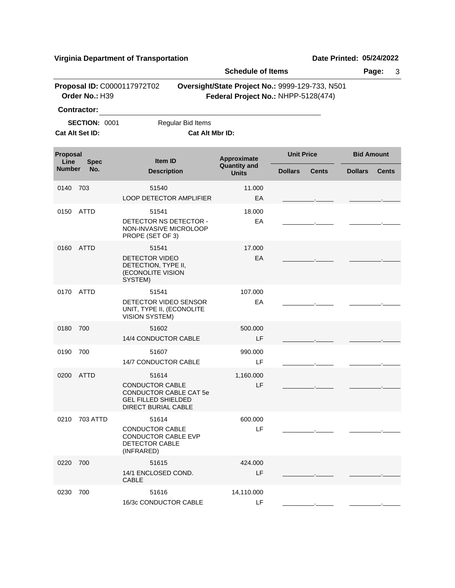|                                               |                                         |                                                                                                              | <b>Schedule of Items</b>             |                                                                                        |                |                   | 3<br>Page:     |                   |  |
|-----------------------------------------------|-----------------------------------------|--------------------------------------------------------------------------------------------------------------|--------------------------------------|----------------------------------------------------------------------------------------|----------------|-------------------|----------------|-------------------|--|
| Proposal ID: C0000117972T02<br>Order No.: H39 |                                         |                                                                                                              |                                      | Oversight/State Project No.: 9999-129-733, N501<br>Federal Project No.: NHPP-5128(474) |                |                   |                |                   |  |
|                                               | <b>Contractor:</b>                      |                                                                                                              |                                      |                                                                                        |                |                   |                |                   |  |
|                                               | <b>SECTION: 0001</b><br>Cat Alt Set ID: |                                                                                                              | Regular Bid Items<br>Cat Alt Mbr ID: |                                                                                        |                |                   |                |                   |  |
|                                               |                                         |                                                                                                              |                                      |                                                                                        |                |                   |                |                   |  |
| Proposal<br>Line                              | <b>Spec</b>                             | Item ID                                                                                                      |                                      | Approximate<br><b>Quantity and</b><br><b>Units</b>                                     |                | <b>Unit Price</b> |                | <b>Bid Amount</b> |  |
| <b>Number</b>                                 | No.                                     |                                                                                                              | <b>Description</b>                   |                                                                                        | <b>Dollars</b> | <b>Cents</b>      | <b>Dollars</b> | <b>Cents</b>      |  |
| 0140                                          | 703                                     | 51540                                                                                                        |                                      | 11.000                                                                                 |                |                   |                |                   |  |
|                                               |                                         | <b>LOOP DETECTOR AMPLIFIER</b>                                                                               |                                      | EA                                                                                     |                |                   |                |                   |  |
| 0150                                          | <b>ATTD</b>                             | 51541                                                                                                        |                                      | 18.000                                                                                 |                |                   |                |                   |  |
|                                               |                                         | DETECTOR NS DETECTOR -<br>NON-INVASIVE MICROLOOP<br>PROPE (SET OF 3)                                         |                                      | EA                                                                                     |                |                   |                |                   |  |
| 0160                                          | <b>ATTD</b>                             | 51541                                                                                                        |                                      | 17.000                                                                                 |                |                   |                |                   |  |
|                                               |                                         | <b>DETECTOR VIDEO</b><br>DETECTION, TYPE II,<br>(ECONOLITE VISION<br>SYSTEM)                                 |                                      | EA                                                                                     |                |                   |                |                   |  |
| 0170                                          | <b>ATTD</b>                             | 51541                                                                                                        |                                      | 107.000                                                                                |                |                   |                |                   |  |
|                                               |                                         | DETECTOR VIDEO SENSOR<br>UNIT, TYPE II, (ECONOLITE<br><b>VISION SYSTEM)</b>                                  |                                      | EA                                                                                     |                |                   |                |                   |  |
| 0180                                          | 700                                     | 51602                                                                                                        |                                      | 500.000                                                                                |                |                   |                |                   |  |
|                                               |                                         | 14/4 CONDUCTOR CABLE                                                                                         |                                      | LF                                                                                     |                |                   |                |                   |  |
| 0190                                          | 700                                     | 51607                                                                                                        |                                      | 990.000                                                                                |                |                   |                |                   |  |
|                                               |                                         | 14/7 CONDUCTOR CABLE                                                                                         |                                      | LF                                                                                     |                |                   |                |                   |  |
| 0200                                          | <b>ATTD</b>                             | 51614                                                                                                        |                                      | 1,160.000                                                                              |                |                   |                |                   |  |
|                                               |                                         | <b>CONDUCTOR CABLE</b><br>CONDUCTOR CABLE CAT 5e<br><b>GEL FILLED SHIELDED</b><br><b>DIRECT BURIAL CABLE</b> |                                      | LF                                                                                     |                |                   |                |                   |  |
| 0210                                          | 703 ATTD                                | 51614                                                                                                        |                                      | 600.000                                                                                |                |                   |                |                   |  |
|                                               |                                         | <b>CONDUCTOR CABLE</b><br><b>CONDUCTOR CABLE EVP</b><br>DETECTOR CABLE<br>(INFRARED)                         |                                      | LF                                                                                     |                |                   |                |                   |  |
| 0220                                          | 700                                     | 51615                                                                                                        |                                      | 424.000                                                                                |                |                   |                |                   |  |
|                                               |                                         | 14/1 ENCLOSED COND.<br><b>CABLE</b>                                                                          |                                      | LF                                                                                     |                |                   |                |                   |  |
| 0230                                          | 700                                     | 51616                                                                                                        |                                      | 14,110.000                                                                             |                |                   |                |                   |  |
|                                               |                                         | 16/3c CONDUCTOR CABLE                                                                                        |                                      | LF                                                                                     |                |                   |                |                   |  |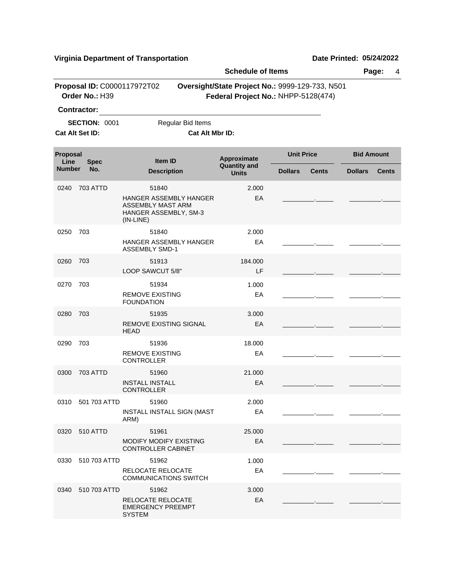|                                 |                                               |                                                                                     | <b>Schedule of Items</b>                                                               |                   |              |                   | Page:<br>4   |
|---------------------------------|-----------------------------------------------|-------------------------------------------------------------------------------------|----------------------------------------------------------------------------------------|-------------------|--------------|-------------------|--------------|
|                                 | Proposal ID: C0000117972T02<br>Order No.: H39 |                                                                                     | Oversight/State Project No.: 9999-129-733, N501<br>Federal Project No.: NHPP-5128(474) |                   |              |                   |              |
|                                 | <b>Contractor:</b>                            |                                                                                     |                                                                                        |                   |              |                   |              |
|                                 | <b>SECTION: 0001</b><br>Cat Alt Set ID:       | Regular Bid Items                                                                   | Cat Alt Mbr ID:                                                                        |                   |              |                   |              |
| Proposal<br>Line<br><b>Spec</b> |                                               | <b>Item ID</b>                                                                      | Approximate                                                                            | <b>Unit Price</b> |              | <b>Bid Amount</b> |              |
| <b>Number</b>                   | No.                                           | <b>Description</b>                                                                  | <b>Quantity and</b><br><b>Units</b>                                                    | <b>Dollars</b>    | <b>Cents</b> | <b>Dollars</b>    | <b>Cents</b> |
| 0240                            | <b>703 ATTD</b>                               | 51840                                                                               | 2.000                                                                                  |                   |              |                   |              |
|                                 |                                               | HANGER ASSEMBLY HANGER<br>ASSEMBLY MAST ARM<br>HANGER ASSEMBLY, SM-3<br>$(IN-LINE)$ | EA                                                                                     |                   |              |                   |              |
| 0250                            | 703                                           | 51840                                                                               | 2.000                                                                                  |                   |              |                   |              |
|                                 |                                               | HANGER ASSEMBLY HANGER<br><b>ASSEMBLY SMD-1</b>                                     | EA                                                                                     |                   |              |                   |              |
| 0260                            | 703                                           | 51913                                                                               | 184.000                                                                                |                   |              |                   |              |
|                                 |                                               | LOOP SAWCUT 5/8"                                                                    | LF                                                                                     |                   |              |                   |              |
| 0270                            | 703                                           | 51934                                                                               | 1.000                                                                                  |                   |              |                   |              |
|                                 |                                               | <b>REMOVE EXISTING</b><br><b>FOUNDATION</b>                                         | EA                                                                                     |                   |              |                   |              |
| 0280                            | 703                                           | 51935<br>REMOVE EXISTING SIGNAL<br><b>HEAD</b>                                      | 3.000<br>EA                                                                            |                   |              |                   |              |
| 0290                            | 703                                           | 51936                                                                               | 18.000                                                                                 |                   |              |                   |              |
|                                 |                                               | <b>REMOVE EXISTING</b><br><b>CONTROLLER</b>                                         | EA                                                                                     |                   |              |                   |              |
| 0300                            | <b>703 ATTD</b>                               | 51960                                                                               | 21.000                                                                                 |                   |              |                   |              |
|                                 |                                               | <b>INSTALL INSTALL</b><br><b>CONTROLLER</b>                                         | EA                                                                                     |                   |              |                   |              |
|                                 | 0310 501 703 ATTD                             | 51960                                                                               | 2.000                                                                                  |                   |              |                   |              |
|                                 |                                               | <b>INSTALL INSTALL SIGN (MAST</b><br>ARM)                                           | EA                                                                                     |                   |              |                   |              |
| 0320                            | 510 ATTD                                      | 51961                                                                               | 25.000                                                                                 |                   |              |                   |              |
|                                 |                                               | MODIFY MODIFY EXISTING<br>CONTROLLER CABINET                                        | EA                                                                                     |                   |              |                   |              |
| 0330                            | 510 703 ATTD                                  | 51962                                                                               | 1.000                                                                                  |                   |              |                   |              |
|                                 |                                               | RELOCATE RELOCATE<br><b>COMMUNICATIONS SWITCH</b>                                   | EA                                                                                     |                   |              |                   |              |
| 0340                            | 510 703 ATTD                                  | 51962                                                                               | 3.000                                                                                  |                   |              |                   |              |
|                                 |                                               | RELOCATE RELOCATE<br>EMERGENCY PREEMPT<br><b>SYSTEM</b>                             | EA                                                                                     |                   |              |                   |              |
|                                 |                                               |                                                                                     |                                                                                        |                   |              |                   |              |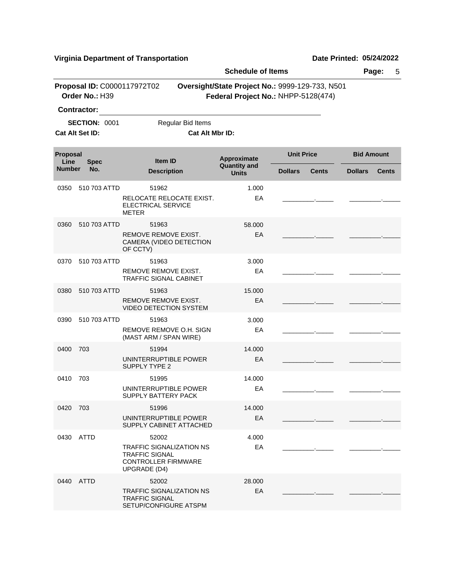|                  |                                               |                                                                                                                 | <b>Schedule of Items</b>                                                               |                                | Page:<br>5                     |  |  |  |
|------------------|-----------------------------------------------|-----------------------------------------------------------------------------------------------------------------|----------------------------------------------------------------------------------------|--------------------------------|--------------------------------|--|--|--|
|                  | Proposal ID: C0000117972T02<br>Order No.: H39 |                                                                                                                 | Oversight/State Project No.: 9999-129-733, N501<br>Federal Project No.: NHPP-5128(474) |                                |                                |  |  |  |
|                  | Contractor:                                   |                                                                                                                 |                                                                                        |                                |                                |  |  |  |
|                  | <b>SECTION: 0001</b>                          | Regular Bid Items                                                                                               |                                                                                        |                                |                                |  |  |  |
|                  | Cat Alt Set ID:                               | Cat Alt Mbr ID:                                                                                                 |                                                                                        |                                |                                |  |  |  |
| Proposal<br>Line | <b>Spec</b>                                   | Item ID                                                                                                         | Approximate                                                                            | <b>Unit Price</b>              | <b>Bid Amount</b>              |  |  |  |
| <b>Number</b>    | No.                                           | <b>Description</b>                                                                                              | <b>Quantity and</b><br><b>Units</b>                                                    | <b>Dollars</b><br><b>Cents</b> | <b>Dollars</b><br><b>Cents</b> |  |  |  |
| 0350             | 510 703 ATTD                                  | 51962<br>RELOCATE RELOCATE EXIST.<br><b>ELECTRICAL SERVICE</b><br><b>METER</b>                                  | 1.000<br>EA                                                                            |                                |                                |  |  |  |
| 0360             | 510 703 ATTD                                  | 51963<br>REMOVE REMOVE EXIST.<br>CAMERA (VIDEO DETECTION<br>OF CCTV)                                            | 58,000<br>EA                                                                           |                                |                                |  |  |  |
| 0370             | 510 703 ATTD                                  | 51963<br>REMOVE REMOVE EXIST.<br><b>TRAFFIC SIGNAL CABINET</b>                                                  | 3.000<br>EA                                                                            |                                |                                |  |  |  |
| 0380             | 510 703 ATTD                                  | 51963<br>REMOVE REMOVE EXIST.<br><b>VIDEO DETECTION SYSTEM</b>                                                  | 15.000<br>EA                                                                           |                                |                                |  |  |  |
| 0390             | 510 703 ATTD                                  | 51963<br>REMOVE REMOVE O.H. SIGN<br>(MAST ARM / SPAN WIRE)                                                      | 3.000<br>EA                                                                            |                                |                                |  |  |  |
| 0400             | 703                                           | 51994<br>UNINTERRUPTIBLE POWER<br><b>SUPPLY TYPE 2</b>                                                          | 14.000<br>EA                                                                           |                                |                                |  |  |  |
| 0410             | 703                                           | 51995<br>UNINTERRUPTIBLE POWER<br>SUPPLY BATTERY PACK                                                           | 14.000<br>EA                                                                           |                                |                                |  |  |  |
| 0420             | 703                                           | 51996<br>UNINTERRUPTIBLE POWER<br>SUPPLY CABINET ATTACHED                                                       | 14.000<br>EA                                                                           |                                |                                |  |  |  |
| 0430             | <b>ATTD</b>                                   | 52002<br><b>TRAFFIC SIGNALIZATION NS</b><br><b>TRAFFIC SIGNAL</b><br><b>CONTROLLER FIRMWARE</b><br>UPGRADE (D4) | 4.000<br>EA                                                                            |                                |                                |  |  |  |
|                  | 0440 ATTD                                     | 52002<br><b>TRAFFIC SIGNALIZATION NS</b><br><b>TRAFFIC SIGNAL</b><br>SETUP/CONFIGURE ATSPM                      | 28,000<br>EA                                                                           |                                |                                |  |  |  |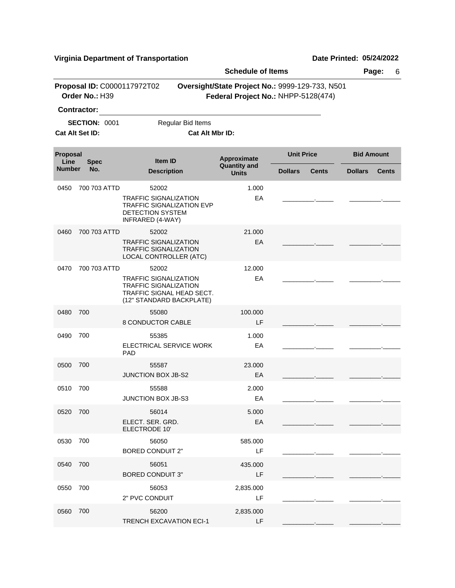|                                 |                                               |                                                                                                                                | <b>Schedule of Items</b>                                                               |                                | Page:<br>6                     |  |  |
|---------------------------------|-----------------------------------------------|--------------------------------------------------------------------------------------------------------------------------------|----------------------------------------------------------------------------------------|--------------------------------|--------------------------------|--|--|
|                                 | Proposal ID: C0000117972T02<br>Order No.: H39 |                                                                                                                                | Oversight/State Project No.: 9999-129-733, N501<br>Federal Project No.: NHPP-5128(474) |                                |                                |  |  |
|                                 | <b>Contractor:</b>                            |                                                                                                                                |                                                                                        |                                |                                |  |  |
|                                 | <b>SECTION: 0001</b><br>Cat Alt Set ID:       | Regular Bid Items<br>Cat Alt Mbr ID:                                                                                           |                                                                                        |                                |                                |  |  |
| Proposal<br>Line<br><b>Spec</b> |                                               | <b>Item ID</b>                                                                                                                 | Approximate<br><b>Quantity and</b>                                                     | <b>Unit Price</b>              | <b>Bid Amount</b>              |  |  |
| <b>Number</b>                   | No.                                           | <b>Description</b>                                                                                                             | <b>Units</b>                                                                           | <b>Dollars</b><br><b>Cents</b> | <b>Dollars</b><br><b>Cents</b> |  |  |
| 0450                            | 700 703 ATTD                                  | 52002<br><b>TRAFFIC SIGNALIZATION</b><br>TRAFFIC SIGNALIZATION EVP<br>DETECTION SYSTEM<br>INFRARED (4-WAY)                     | 1.000<br>EA                                                                            |                                |                                |  |  |
| 0460                            | 700 703 ATTD                                  | 52002<br><b>TRAFFIC SIGNALIZATION</b><br><b>TRAFFIC SIGNALIZATION</b><br>LOCAL CONTROLLER (ATC)                                | 21,000<br>EA                                                                           |                                |                                |  |  |
| 0470                            | 700 703 ATTD                                  | 52002<br><b>TRAFFIC SIGNALIZATION</b><br><b>TRAFFIC SIGNALIZATION</b><br>TRAFFIC SIGNAL HEAD SECT.<br>(12" STANDARD BACKPLATE) | 12.000<br>EA                                                                           |                                |                                |  |  |
| 0480                            | 700                                           | 55080<br>8 CONDUCTOR CABLE                                                                                                     | 100.000<br>LF                                                                          |                                |                                |  |  |
| 0490                            | 700                                           | 55385<br>ELECTRICAL SERVICE WORK<br><b>PAD</b>                                                                                 | 1.000<br>EA                                                                            |                                |                                |  |  |
| 0500                            | 700                                           | 55587<br><b>JUNCTION BOX JB-S2</b>                                                                                             | 23,000<br>EA                                                                           |                                |                                |  |  |
| 0510                            | 700                                           | 55588<br>JUNCTION BOX JB-S3                                                                                                    | 2.000<br>EA                                                                            |                                |                                |  |  |
| 0520                            | 700                                           | 56014<br>ELECT. SER. GRD.<br>ELECTRODE 10'                                                                                     | 5.000<br>EA                                                                            |                                |                                |  |  |
| 0530                            | 700                                           | 56050<br><b>BORED CONDUIT 2"</b>                                                                                               | 585.000<br>LF                                                                          |                                |                                |  |  |
| 0540                            | 700                                           | 56051<br><b>BORED CONDUIT 3"</b>                                                                                               | 435.000<br>LF                                                                          |                                |                                |  |  |
| 0550                            | 700                                           | 56053<br>2" PVC CONDUIT                                                                                                        | 2,835.000<br>LF                                                                        |                                |                                |  |  |
| 0560                            | 700                                           | 56200<br><b>TRENCH EXCAVATION ECI-1</b>                                                                                        | 2,835.000<br>LF                                                                        |                                |                                |  |  |